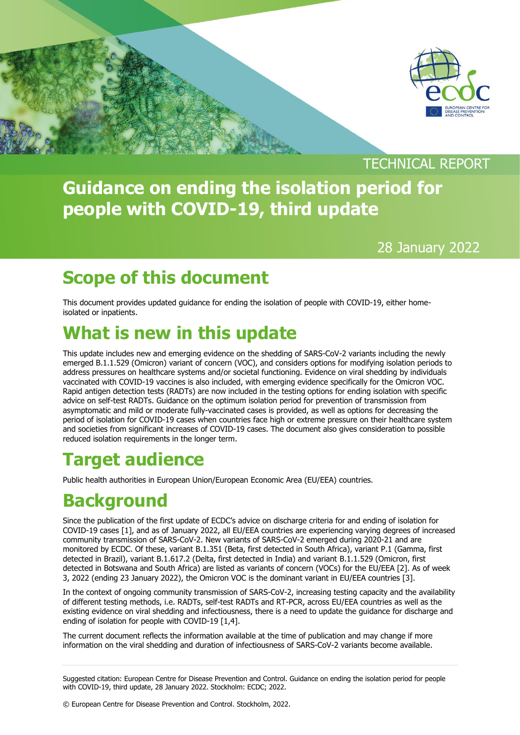

TECHNICAL REPORT

## **Guidance on ending the isolation period for people with COVID-19, third update**

## 28 January 2022

# **Scope of this document**

This document provides updated guidance for ending the isolation of people with COVID-19, either homeisolated or inpatients.

## **What is new in this update**

This update includes new and emerging evidence on the shedding of SARS-CoV-2 variants including the newly emerged B.1.1.529 (Omicron) variant of concern (VOC), and considers options for modifying isolation periods to address pressures on healthcare systems and/or societal functioning. Evidence on viral shedding by individuals vaccinated with COVID-19 vaccines is also included, with emerging evidence specifically for the Omicron VOC. Rapid antigen detection tests (RADTs) are now included in the testing options for ending isolation with specific advice on self-test RADTs. Guidance on the optimum isolation period for prevention of transmission from asymptomatic and mild or moderate fully-vaccinated cases is provided, as well as options for decreasing the period of isolation for COVID-19 cases when countries face high or extreme pressure on their healthcare system and societies from significant increases of COVID-19 cases. The document also gives consideration to possible reduced isolation requirements in the longer term.

# **Target audience**

Public health authorities in European Union/European Economic Area (EU/EEA) countries.

## **Background**

Since the publication of the first update of ECDC's advice on discharge criteria for and ending of isolation for COVID-19 cases [1], and as of January 2022, all EU/EEA countries are experiencing varying degrees of increased community transmission of SARS-CoV-2. New variants of SARS-CoV-2 emerged during 2020-21 and are monitored by ECDC. Of these, variant B.1.351 (Beta, first detected in South Africa), variant P.1 (Gamma, first detected in Brazil), variant B.1.617.2 (Delta, first detected in India) and variant B.1.1.529 (Omicron, first detected in Botswana and South Africa) are listed as variants of concern (VOCs) for the EU/EEA [2]. As of week 3, 2022 (ending 23 January 2022), the Omicron VOC is the dominant variant in EU/EEA countries [3].

In the context of ongoing community transmission of SARS-CoV-2, increasing testing capacity and the availability of different testing methods, i.e. RADTs, self-test RADTs and RT-PCR, across EU/EEA countries as well as the existing evidence on viral shedding and infectiousness, there is a need to update the guidance for discharge and ending of isolation for people with COVID-19 [1,4].

The current document reflects the information available at the time of publication and may change if more information on the viral shedding and duration of infectiousness of SARS-CoV-2 variants become available.

Suggested citation: European Centre for Disease Prevention and Control. Guidance on ending the isolation period for people with COVID-19, third update, 28 January 2022. Stockholm: ECDC; 2022.

© European Centre for Disease Prevention and Control. Stockholm, 2022.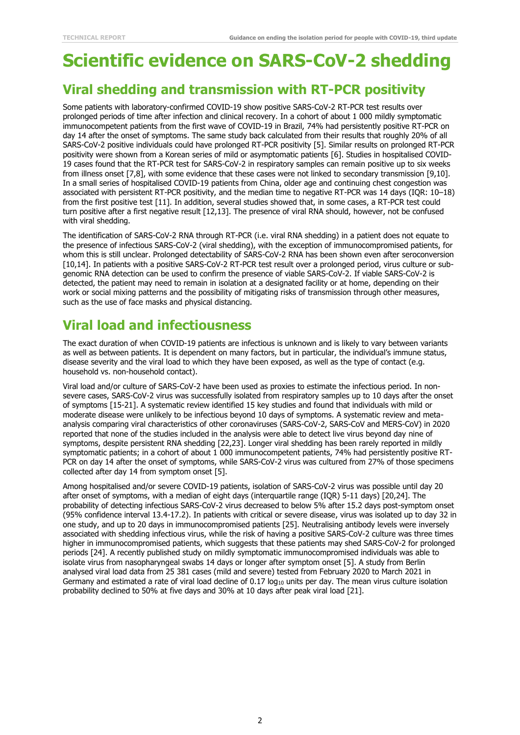# **Scientific evidence on SARS-CoV-2 shedding**

### **Viral shedding and transmission with RT-PCR positivity**

Some patients with laboratory-confirmed COVID-19 show positive SARS-CoV-2 RT-PCR test results over prolonged periods of time after infection and clinical recovery. In a cohort of about 1 000 mildly symptomatic immunocompetent patients from the first wave of COVID-19 in Brazil, 74% had persistently positive RT-PCR on day 14 after the onset of symptoms. The same study back calculated from their results that roughly 20% of all SARS-CoV-2 positive individuals could have prolonged RT-PCR positivity [5]. Similar results on prolonged RT-PCR positivity were shown from a Korean series of mild or asymptomatic patients [6]. Studies in hospitalised COVID-19 cases found that the RT-PCR test for SARS-CoV-2 in respiratory samples can remain positive up to six weeks from illness onset [7,8], with some evidence that these cases were not linked to secondary transmission [9,10]. In a small series of hospitalised COVID-19 patients from China, older age and continuing chest congestion was associated with persistent RT-PCR positivity, and the median time to negative RT-PCR was 14 days (IQR: 10–18) from the first positive test [11]. In addition, several studies showed that, in some cases, a RT-PCR test could turn positive after a first negative result [12,13]. The presence of viral RNA should, however, not be confused with viral shedding.

The identification of SARS-CoV-2 RNA through RT-PCR (i.e. viral RNA shedding) in a patient does not equate to the presence of infectious SARS-CoV-2 (viral shedding), with the exception of immunocompromised patients, for whom this is still unclear. Prolonged detectability of SARS-CoV-2 RNA has been shown even after seroconversion [10,14]. In patients with a positive SARS-CoV-2 RT-PCR test result over a prolonged period, virus culture or subgenomic RNA detection can be used to confirm the presence of viable SARS-CoV-2. If viable SARS-CoV-2 is detected, the patient may need to remain in isolation at a designated facility or at home, depending on their work or social mixing patterns and the possibility of mitigating risks of transmission through other measures, such as the use of face masks and physical distancing.

## **Viral load and infectiousness**

The exact duration of when COVID-19 patients are infectious is unknown and is likely to vary between variants as well as between patients. It is dependent on many factors, but in particular, the individual's immune status, disease severity and the viral load to which they have been exposed, as well as the type of contact (e.g. household vs. non-household contact).

Viral load and/or culture of SARS-CoV-2 have been used as proxies to estimate the infectious period. In nonsevere cases, SARS-CoV-2 virus was successfully isolated from respiratory samples up to 10 days after the onset of symptoms [15-21]. A systematic review identified 15 key studies and found that individuals with mild or moderate disease were unlikely to be infectious beyond 10 days of symptoms. A systematic review and metaanalysis comparing viral characteristics of other coronaviruses (SARS-CoV-2, SARS-CoV and MERS-CoV) in 2020 reported that none of the studies included in the analysis were able to detect live virus beyond day nine of symptoms, despite persistent RNA shedding [22,23]. Longer viral shedding has been rarely reported in mildly symptomatic patients; in a cohort of about 1 000 immunocompetent patients, 74% had persistently positive RT-PCR on day 14 after the onset of symptoms, while SARS-CoV-2 virus was cultured from 27% of those specimens collected after day 14 from symptom onset [5].

Among hospitalised and/or severe COVID-19 patients, isolation of SARS-CoV-2 virus was possible until day 20 after onset of symptoms, with a median of eight days (interquartile range (IQR) 5-11 days) [20,24]. The probability of detecting infectious SARS-CoV-2 virus decreased to below 5% after 15.2 days post-symptom onset (95% confidence interval 13.4-17.2). In patients with critical or severe disease, virus was isolated up to day 32 in one study, and up to 20 days in immunocompromised patients [25]. Neutralising antibody levels were inversely associated with shedding infectious virus, while the risk of having a positive SARS-CoV-2 culture was three times higher in immunocompromised patients, which suggests that these patients may shed SARS-CoV-2 for prolonged periods [24]. A recently published study on mildly symptomatic immunocompromised individuals was able to isolate virus from nasopharyngeal swabs 14 days or longer after symptom onset [5]. A study from Berlin analysed viral load data from 25 381 cases (mild and severe) tested from February 2020 to March 2021 in Germany and estimated a rate of viral load decline of 0.17 log<sub>10</sub> units per day. The mean virus culture isolation probability declined to 50% at five days and 30% at 10 days after peak viral load [21].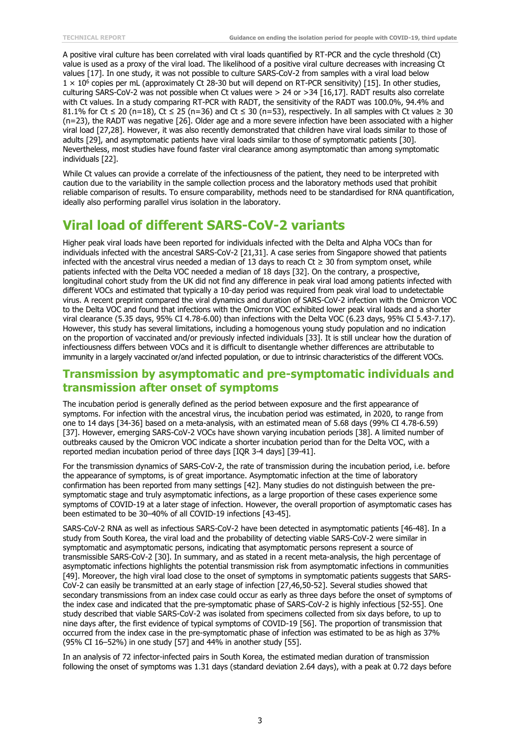A positive viral culture has been correlated with viral loads quantified by RT-PCR and the cycle threshold (Ct) value is used as a proxy of the viral load. The likelihood of a positive viral culture decreases with increasing Ct values [17]. In one study, it was not possible to culture SARS-CoV-2 from samples with a viral load below 1 × 10<sup>6</sup> copies per mL (approximately Ct 28-30 but will depend on RT-PCR sensitivity) [15]. In other studies, culturing SARS-CoV-2 was not possible when Ct values were > 24 or >34 [16,17]. RADT results also correlate with Ct values. In a study comparing RT-PCR with RADT, the sensitivity of the RADT was 100.0%, 94.4% and 81.1% for Ct  $\leq$  20 (n=18), Ct  $\leq$  25 (n=36) and Ct  $\leq$  30 (n=53), respectively. In all samples with Ct values  $\geq$  30 (n=23), the RADT was negative [26]. Older age and a more severe infection have been associated with a higher viral load [27,28]. However, it was also recently demonstrated that children have viral loads similar to those of adults [29], and asymptomatic patients have viral loads similar to those of symptomatic patients [30]. Nevertheless, most studies have found faster viral clearance among asymptomatic than among symptomatic individuals [22].

While Ct values can provide a correlate of the infectiousness of the patient, they need to be interpreted with caution due to the variability in the sample collection process and the laboratory methods used that prohibit reliable comparison of results. To ensure comparability, methods need to be standardised for RNA quantification, ideally also performing parallel virus isolation in the laboratory.

## **Viral load of different SARS-CoV-2 variants**

Higher peak viral loads have been reported for individuals infected with the Delta and Alpha VOCs than for individuals infected with the ancestral SARS-CoV-2 [21,31]. A case series from Singapore showed that patients infected with the ancestral virus needed a median of 13 days to reach  $Ct \geq 30$  from symptom onset, while patients infected with the Delta VOC needed a median of 18 days [32]. On the contrary, a prospective, longitudinal cohort study from the UK did not find any difference in peak viral load among patients infected with different VOCs and estimated that typically a 10-day period was required from peak viral load to undetectable virus. A recent preprint compared the viral dynamics and duration of SARS-CoV-2 infection with the Omicron VOC to the Delta VOC and found that infections with the Omicron VOC exhibited lower peak viral loads and a shorter viral clearance (5.35 days, 95% CI 4.78-6.00) than infections with the Delta VOC (6.23 days, 95% CI 5.43-7.17). However, this study has several limitations, including a homogenous young study population and no indication on the proportion of vaccinated and/or previously infected individuals [33]. It is still unclear how the duration of infectiousness differs between VOCs and it is difficult to disentangle whether differences are attributable to immunity in a largely vaccinated or/and infected population, or due to intrinsic characteristics of the different VOCs.

#### **Transmission by asymptomatic and pre-symptomatic individuals and transmission after onset of symptoms**

The incubation period is generally defined as the period between exposure and the first appearance of symptoms. For infection with the ancestral virus, the incubation period was estimated, in 2020, to range from one to 14 days [34-36] based on a meta-analysis, with an estimated mean of 5.68 days (99% CI 4.78-6.59) [37]. However, emerging SARS-CoV-2 VOCs have shown varying incubation periods [38]. A limited number of outbreaks caused by the Omicron VOC indicate a shorter incubation period than for the Delta VOC, with a reported median incubation period of three days [IQR 3-4 days] [39-41].

For the transmission dynamics of SARS-CoV-2, the rate of transmission during the incubation period, i.e. before the appearance of symptoms, is of great importance. Asymptomatic infection at the time of laboratory confirmation has been reported from many settings [42]. Many studies do not distinguish between the presymptomatic stage and truly asymptomatic infections, as a large proportion of these cases experience some symptoms of COVID-19 at a later stage of infection. However, the overall proportion of asymptomatic cases has been estimated to be 30–40% of all COVID-19 infections [43-45].

SARS-CoV-2 RNA as well as infectious SARS-CoV-2 have been detected in asymptomatic patients [46-48]. In a study from South Korea, the viral load and the probability of detecting viable SARS-CoV-2 were similar in symptomatic and asymptomatic persons, indicating that asymptomatic persons represent a source of transmissible SARS-CoV-2 [30]. In summary, and as stated in a recent meta-analysis, the high percentage of asymptomatic infections highlights the potential transmission risk from asymptomatic infections in communities [49]. Moreover, the high viral load close to the onset of symptoms in symptomatic patients suggests that SARS-CoV-2 can easily be transmitted at an early stage of infection [27,46,50-52]. Several studies showed that secondary transmissions from an index case could occur as early as three days before the onset of symptoms of the index case and indicated that the pre-symptomatic phase of SARS-CoV-2 is highly infectious [52-55]. One study described that viable SARS-CoV-2 was isolated from specimens collected from six days before, to up to nine days after, the first evidence of typical symptoms of COVID-19 [56]. The proportion of transmission that occurred from the index case in the pre-symptomatic phase of infection was estimated to be as high as 37% (95% CI 16–52%) in one study [57] and 44% in another study [55].

In an analysis of 72 infector-infected pairs in South Korea, the estimated median duration of transmission following the onset of symptoms was 1.31 days (standard deviation 2.64 days), with a peak at 0.72 days before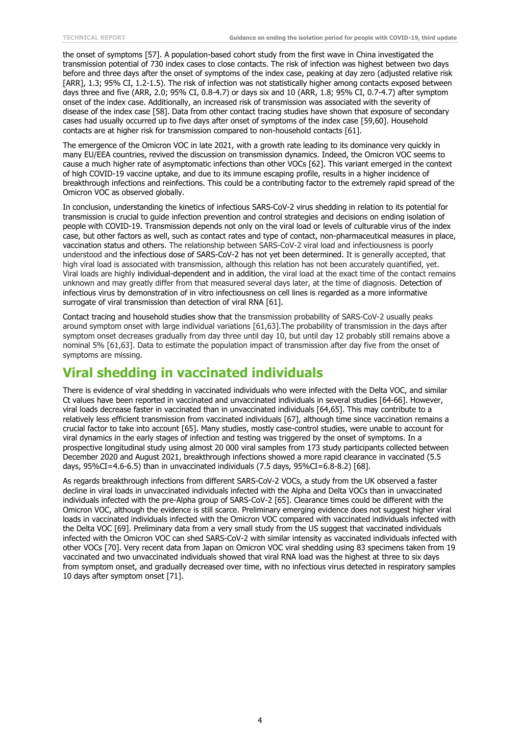the onset of symptoms [57]. A population-based cohort study from the first wave in China investigated the transmission potential of 730 index cases to close contacts. The risk of infection was highest between two days before and three days after the onset of symptoms of the index case, peaking at day zero (adjusted relative risk [ARR], 1.3; 95% CI, 1.2-1.5). The risk of infection was not statistically higher among contacts exposed between days three and five (ARR, 2.0; 95% CI, 0.8-4.7) or days six and 10 (ARR, 1.8; 95% CI, 0.7-4.7) after symptom onset of the index case. Additionally, an increased risk of transmission was associated with the severity of disease of the index case [58]. Data from other contact tracing studies have shown that exposure of secondary cases had usually occurred up to five days after onset of symptoms of the index case [59,60]. Household contacts are at higher risk for transmission compared to non-household contacts [61].

The emergence of the Omicron VOC in late 2021, with a growth rate leading to its dominance very quickly in many EU/EEA countries, revived the discussion on transmission dynamics. Indeed, the Omicron VOC seems to cause a much higher rate of asymptomatic infections than other VOCs [62]. This variant emerged in the context of high COVID-19 vaccine uptake, and due to its immune escaping profile, results in a higher incidence of breakthrough infections and reinfections. This could be a contributing factor to the extremely rapid spread of the Omicron VOC as observed globally.

In conclusion, understanding the kinetics of infectious SARS-CoV-2 virus shedding in relation to its potential for transmission is crucial to guide infection prevention and control strategies and decisions on ending isolation of people with COVID-19. Transmission depends not only on the viral load or levels of culturable virus of the index case, but other factors as well, such as contact rates and type of contact, non-pharmaceutical measures in place, vaccination status and others. The relationship between SARS-CoV-2 viral load and infectiousness is poorly understood and the infectious dose of SARS-CoV-2 has not yet been determined. It is generally accepted, that high viral load is associated with transmission, although this relation has not been accurately quantified, yet. Viral loads are highly individual-dependent and in addition, the viral load at the exact time of the contact remains unknown and may greatly differ from that measured several days later, at the time of diagnosis. Detection of infectious virus by demonstration of in vitro infectiousness on cell lines is regarded as a more informative surrogate of viral transmission than detection of viral RNA [61].

Contact tracing and household studies show that the transmission probability of SARS-CoV-2 usually peaks around symptom onset with large individual variations [61,63].The probability of transmission in the days after symptom onset decreases gradually from day three until day 10, but until day 12 probably still remains above a nominal 5% [61,63]. Data to estimate the population impact of transmission after day five from the onset of symptoms are missing.

## **Viral shedding in vaccinated individuals**

There is evidence of viral shedding in vaccinated individuals who were infected with the Delta VOC, and similar Ct values have been reported in vaccinated and unvaccinated individuals in several studies [64-66]. However, viral loads decrease faster in vaccinated than in unvaccinated individuals [64,65]. This may contribute to a relatively less efficient transmission from vaccinated individuals [67], although time since vaccination remains a crucial factor to take into account [65]. Many studies, mostly case-control studies, were unable to account for viral dynamics in the early stages of infection and testing was triggered by the onset of symptoms. In a prospective longitudinal study using almost 20 000 viral samples from 173 study participants collected between December 2020 and August 2021, breakthrough infections showed a more rapid clearance in vaccinated (5.5 days,  $95\%CI = 4.6 - 6.5$ ) than in unvaccinated individuals (7.5 days,  $95\%CI = 6.8 - 8.2$ ) [68].

As regards breakthrough infections from different SARS-CoV-2 VOCs, a study from the UK observed a faster decline in viral loads in unvaccinated individuals infected with the Alpha and Delta VOCs than in unvaccinated individuals infected with the pre-Alpha group of SARS-CoV-2 [65]. Clearance times could be different with the Omicron VOC, although the evidence is still scarce. Preliminary emerging evidence does not suggest higher viral loads in vaccinated individuals infected with the Omicron VOC compared with vaccinated individuals infected with the Delta VOC [69]. Preliminary data from a very small study from the US suggest that vaccinated individuals infected with the Omicron VOC can shed SARS-CoV-2 with similar intensity as vaccinated individuals infected with other VOCs [70]. Very recent data from Japan on Omicron VOC viral shedding using 83 specimens taken from 19 vaccinated and two unvaccinated individuals showed that viral RNA load was the highest at three to six days from symptom onset, and gradually decreased over time, with no infectious virus detected in respiratory samples 10 days after symptom onset [71].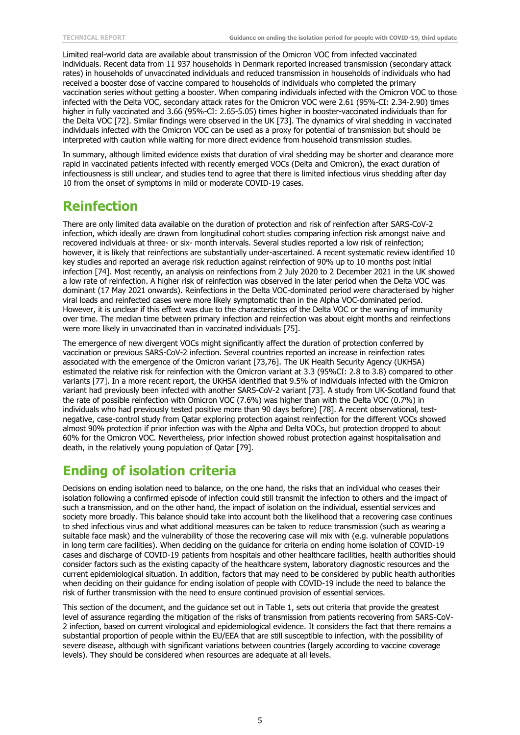Limited real-world data are available about transmission of the Omicron VOC from infected vaccinated individuals. Recent data from 11 937 households in Denmark reported increased transmission (secondary attack rates) in households of unvaccinated individuals and reduced transmission in households of individuals who had received a booster dose of vaccine compared to households of individuals who completed the primary vaccination series without getting a booster. When comparing individuals infected with the Omicron VOC to those infected with the Delta VOC, secondary attack rates for the Omicron VOC were 2.61 (95%-CI: 2.34-2.90) times higher in fully vaccinated and 3.66 (95%-CI: 2.65-5.05) times higher in booster-vaccinated individuals than for the Delta VOC [72]. Similar findings were observed in the UK [73]. The dynamics of viral shedding in vaccinated individuals infected with the Omicron VOC can be used as a proxy for potential of transmission but should be interpreted with caution while waiting for more direct evidence from household transmission studies.

In summary, although limited evidence exists that duration of viral shedding may be shorter and clearance more rapid in vaccinated patients infected with recently emerged VOCs (Delta and Omicron), the exact duration of infectiousness is still unclear, and studies tend to agree that there is limited infectious virus shedding after day 10 from the onset of symptoms in mild or moderate COVID-19 cases.

### **Reinfection**

There are only limited data available on the duration of protection and risk of reinfection after SARS-CoV-2 infection, which ideally are drawn from longitudinal cohort studies comparing infection risk amongst naive and recovered individuals at three- or six- month intervals. Several studies reported a low risk of reinfection; however, it is likely that reinfections are substantially under-ascertained. A recent systematic review identified 10 key studies and reported an average risk reduction against reinfection of 90% up to 10 months post initial infection [74]. Most recently, an analysis on reinfections from 2 July 2020 to 2 December 2021 in the UK showed a low rate of reinfection. A higher risk of reinfection was observed in the later period when the Delta VOC was dominant (17 May 2021 onwards). Reinfections in the Delta VOC-dominated period were characterised by higher viral loads and reinfected cases were more likely symptomatic than in the Alpha VOC-dominated period. However, it is unclear if this effect was due to the characteristics of the Delta VOC or the waning of immunity over time. The median time between primary infection and reinfection was about eight months and reinfections were more likely in unvaccinated than in vaccinated individuals [75].

The emergence of new divergent VOCs might significantly affect the duration of protection conferred by vaccination or previous SARS-CoV-2 infection. Several countries reported an increase in reinfection rates associated with the emergence of the Omicron variant [73,76]. The UK Health Security Agency (UKHSA) estimated the relative risk for reinfection with the Omicron variant at 3.3 (95%CI: 2.8 to 3.8) compared to other variants [77]. In a more recent report, the UKHSA identified that 9.5% of individuals infected with the Omicron variant had previously been infected with another SARS-CoV-2 variant [73]. A study from UK-Scotland found that the rate of possible reinfection with Omicron VOC (7.6%) was higher than with the Delta VOC (0.7%) in individuals who had previously tested positive more than 90 days before) [78]. A recent observational, testnegative, case-control study from Qatar exploring protection against reinfection for the different VOCs showed almost 90% protection if prior infection was with the Alpha and Delta VOCs, but protection dropped to about 60% for the Omicron VOC. Nevertheless, prior infection showed robust protection against hospitalisation and death, in the relatively young population of Qatar [79].

### **Ending of isolation criteria**

Decisions on ending isolation need to balance, on the one hand, the risks that an individual who ceases their isolation following a confirmed episode of infection could still transmit the infection to others and the impact of such a transmission, and on the other hand, the impact of isolation on the individual, essential services and society more broadly. This balance should take into account both the likelihood that a recovering case continues to shed infectious virus and what additional measures can be taken to reduce transmission (such as wearing a suitable face mask) and the vulnerability of those the recovering case will mix with (e.g. vulnerable populations in long term care facilities). When deciding on the guidance for criteria on ending home isolation of COVID-19 cases and discharge of COVID-19 patients from hospitals and other healthcare facilities, health authorities should consider factors such as the existing capacity of the healthcare system, laboratory diagnostic resources and the current epidemiological situation. In addition, factors that may need to be considered by public health authorities when deciding on their guidance for ending isolation of people with COVID-19 include the need to balance the risk of further transmission with the need to ensure continued provision of essential services.

This section of the document, and the guidance set out in Table 1, sets out criteria that provide the greatest level of assurance regarding the mitigation of the risks of transmission from patients recovering from SARS-CoV-2 infection, based on current virological and epidemiological evidence. It considers the fact that there remains a substantial proportion of people within the EU/EEA that are still susceptible to infection, with the possibility of severe disease, although with significant variations between countries (largely according to vaccine coverage levels). They should be considered when resources are adequate at all levels.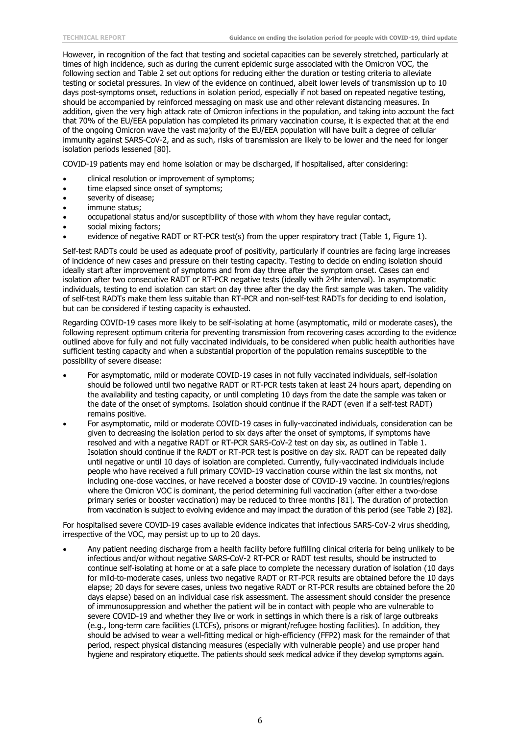However, in recognition of the fact that testing and societal capacities can be severely stretched, particularly at times of high incidence, such as during the current epidemic surge associated with the Omicron VOC, the following section and Table 2 set out options for reducing either the duration or testing criteria to alleviate testing or societal pressures. In view of the evidence on continued, albeit lower levels of transmission up to 10 days post-symptoms onset, reductions in isolation period, especially if not based on repeated negative testing, should be accompanied by reinforced messaging on mask use and other relevant distancing measures. In addition, given the very high attack rate of Omicron infections in the population, and taking into account the fact that 70% of the EU/EEA population has completed its primary vaccination course, it is expected that at the end of the ongoing Omicron wave the vast majority of the EU/EEA population will have built a degree of cellular immunity against SARS-CoV-2, and as such, risks of transmission are likely to be lower and the need for longer isolation periods lessened [80].

COVID-19 patients may end home isolation or may be discharged, if hospitalised, after considering:

- clinical resolution or improvement of symptoms;
- time elapsed since onset of symptoms;
- severity of disease:
- immune status:
- occupational status and/or susceptibility of those with whom they have regular contact,
- social mixing factors:
- evidence of negative RADT or RT-PCR test(s) from the upper respiratory tract (Table 1, Figure 1).

Self-test RADTs could be used as adequate proof of positivity, particularly if countries are facing large increases of incidence of new cases and pressure on their testing capacity. Testing to decide on ending isolation should ideally start after improvement of symptoms and from day three after the symptom onset. Cases can end isolation after two consecutive RADT or RT-PCR negative tests (ideally with 24hr interval). In asymptomatic individuals, testing to end isolation can start on day three after the day the first sample was taken. The validity of self-test RADTs make them less suitable than RT-PCR and non-self-test RADTs for deciding to end isolation, but can be considered if testing capacity is exhausted.

Regarding COVID-19 cases more likely to be self-isolating at home (asymptomatic, mild or moderate cases), the following represent optimum criteria for preventing transmission from recovering cases according to the evidence outlined above for fully and not fully vaccinated individuals, to be considered when public health authorities have sufficient testing capacity and when a substantial proportion of the population remains susceptible to the possibility of severe disease:

- For asymptomatic, mild or moderate COVID-19 cases in not fully vaccinated individuals, self-isolation should be followed until two negative RADT or RT-PCR tests taken at least 24 hours apart, depending on the availability and testing capacity, or until completing 10 days from the date the sample was taken or the date of the onset of symptoms. Isolation should continue if the RADT (even if a self-test RADT) remains positive.
- For asymptomatic, mild or moderate COVID-19 cases in fully-vaccinated individuals, consideration can be given to decreasing the isolation period to six days after the onset of symptoms, if symptoms have resolved and with a negative RADT or RT-PCR SARS-CoV-2 test on day six, as outlined in Table 1. Isolation should continue if the RADT or RT-PCR test is positive on day six. RADT can be repeated daily until negative or until 10 days of isolation are completed. Currently, fully-vaccinated individuals include people who have received a full primary COVID-19 vaccination course within the last six months, not including one-dose vaccines, or have received a booster dose of COVID-19 vaccine. In countries/regions where the Omicron VOC is dominant, the period determining full vaccination (after either a two-dose primary series or booster vaccination) may be reduced to three months [81]. The duration of protection from vaccination is subject to evolving evidence and may impact the duration of this period (see Table 2) [82].

For hospitalised severe COVID-19 cases available evidence indicates that infectious SARS-CoV-2 virus shedding, irrespective of the VOC, may persist up to up to 20 days.

• Any patient needing discharge from a health facility before fulfilling clinical criteria for being unlikely to be infectious and/or without negative SARS-CoV-2 RT-PCR or RADT test results, should be instructed to continue self-isolating at home or at a safe place to complete the necessary duration of isolation (10 days for mild-to-moderate cases, unless two negative RADT or RT-PCR results are obtained before the 10 days elapse; 20 days for severe cases, unless two negative RADT or RT-PCR results are obtained before the 20 days elapse) based on an individual case risk assessment. The assessment should consider the presence of immunosuppression and whether the patient will be in contact with people who are vulnerable to severe COVID-19 and whether they live or work in settings in which there is a risk of large outbreaks (e.g., long-term care facilities (LTCFs), prisons or migrant/refugee hosting facilities). In addition, they should be advised to wear a well-fitting medical or high-efficiency (FFP2) mask for the remainder of that period, respect physical distancing measures (especially with vulnerable people) and use proper hand hygiene and respiratory etiquette. The patients should seek medical advice if they develop symptoms again.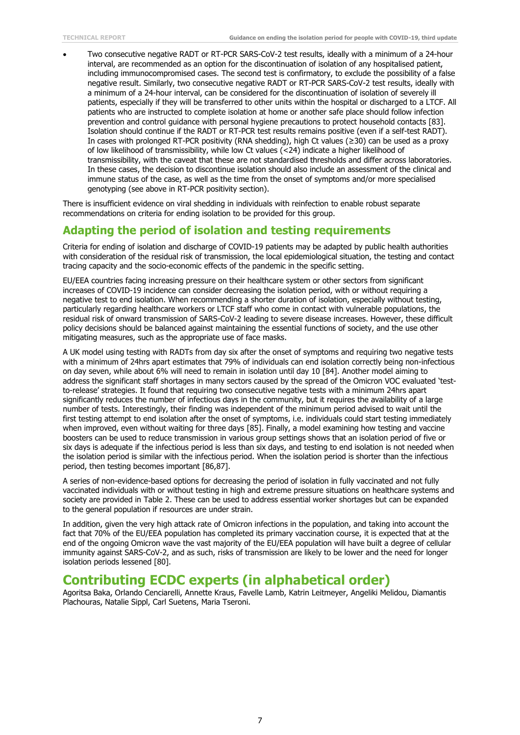• Two consecutive negative RADT or RT-PCR SARS-CoV-2 test results, ideally with a minimum of a 24-hour interval, are recommended as an option for the discontinuation of isolation of any hospitalised patient, including immunocompromised cases. The second test is confirmatory, to exclude the possibility of a false negative result. Similarly, two consecutive negative RADT or RT-PCR SARS-CoV-2 test results, ideally with a minimum of a 24-hour interval, can be considered for the discontinuation of isolation of severely ill patients, especially if they will be transferred to other units within the hospital or discharged to a LTCF. All patients who are instructed to complete isolation at home or another safe place should follow infection prevention and control guidance with personal hygiene precautions to protect household contacts [83]. Isolation should continue if the RADT or RT-PCR test results remains positive (even if a self-test RADT). In cases with prolonged RT-PCR positivity (RNA shedding), high Ct values (≥30) can be used as a proxy of low likelihood of transmissibility, while low Ct values (<24) indicate a higher likelihood of transmissibility, with the caveat that these are not standardised thresholds and differ across laboratories. In these cases, the decision to discontinue isolation should also include an assessment of the clinical and immune status of the case, as well as the time from the onset of symptoms and/or more specialised genotyping (see above in RT-PCR positivity section).

There is insufficient evidence on viral shedding in individuals with reinfection to enable robust separate recommendations on criteria for ending isolation to be provided for this group.

#### **Adapting the period of isolation and testing requirements**

Criteria for ending of isolation and discharge of COVID-19 patients may be adapted by public health authorities with consideration of the residual risk of transmission, the local epidemiological situation, the testing and contact tracing capacity and the socio-economic effects of the pandemic in the specific setting.

EU/EEA countries facing increasing pressure on their healthcare system or other sectors from significant increases of COVID-19 incidence can consider decreasing the isolation period, with or without requiring a negative test to end isolation. When recommending a shorter duration of isolation, especially without testing, particularly regarding healthcare workers or LTCF staff who come in contact with vulnerable populations, the residual risk of onward transmission of SARS-CoV-2 leading to severe disease increases. However, these difficult policy decisions should be balanced against maintaining the essential functions of society, and the use other mitigating measures, such as the appropriate use of face masks.

A UK model using testing with RADTs from day six after the onset of symptoms and requiring two negative tests with a minimum of 24hrs apart estimates that 79% of individuals can end isolation correctly being non-infectious on day seven, while about 6% will need to remain in isolation until day 10 [84]. Another model aiming to address the significant staff shortages in many sectors caused by the spread of the Omicron VOC evaluated 'testto-release' strategies. It found that requiring two consecutive negative tests with a minimum 24hrs apart significantly reduces the number of infectious days in the community, but it requires the availability of a large number of tests. Interestingly, their finding was independent of the minimum period advised to wait until the first testing attempt to end isolation after the onset of symptoms, i.e. individuals could start testing immediately when improved, even without waiting for three days [85]. Finally, a model examining how testing and vaccine boosters can be used to reduce transmission in various group settings shows that an isolation period of five or six days is adequate if the infectious period is less than six days, and testing to end isolation is not needed when the isolation period is similar with the infectious period. When the isolation period is shorter than the infectious period, then testing becomes important [86,87].

A series of non-evidence-based options for decreasing the period of isolation in fully vaccinated and not fully vaccinated individuals with or without testing in high and extreme pressure situations on healthcare systems and society are provided in Table 2. These can be used to address essential worker shortages but can be expanded to the general population if resources are under strain.

In addition, given the very high attack rate of Omicron infections in the population, and taking into account the fact that 70% of the EU/EEA population has completed its primary vaccination course, it is expected that at the end of the ongoing Omicron wave the vast majority of the EU/EEA population will have built a degree of cellular immunity against SARS-CoV-2, and as such, risks of transmission are likely to be lower and the need for longer isolation periods lessened [80].

#### **Contributing ECDC experts (in alphabetical order)**

Agoritsa Baka, Orlando Cenciarelli, Annette Kraus, Favelle Lamb, Katrin Leitmeyer, Angeliki Melidou, Diamantis Plachouras, Natalie Sippl, Carl Suetens, Maria Tseroni.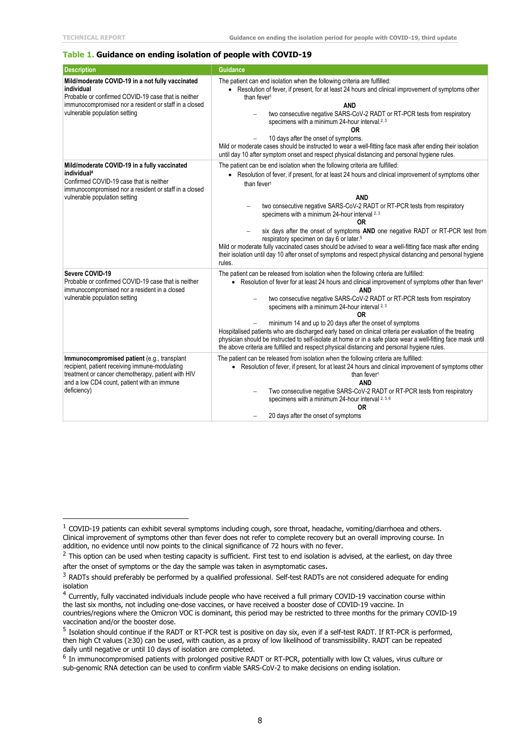#### **Table 1. Guidance on ending isolation of people with COVID-19**

| <b>Description</b>                                                                                                                                                                                                | <b>Guidance</b>                                                                                                                                                                                                                                                                                                                                                                                                                                                                                                                                                                                                                                                                                                                              |  |
|-------------------------------------------------------------------------------------------------------------------------------------------------------------------------------------------------------------------|----------------------------------------------------------------------------------------------------------------------------------------------------------------------------------------------------------------------------------------------------------------------------------------------------------------------------------------------------------------------------------------------------------------------------------------------------------------------------------------------------------------------------------------------------------------------------------------------------------------------------------------------------------------------------------------------------------------------------------------------|--|
| Mild/moderate COVID-19 in a not fully vaccinated<br>individual<br>Probable or confirmed COVID-19 case that is neither<br>immunocompromised nor a resident or staff in a closed<br>vulnerable population setting   | The patient can end isolation when the following criteria are fulfilled:<br>• Resolution of fever, if present, for at least 24 hours and clinical improvement of symptoms other<br>than fever <sup>1</sup><br><b>AND</b><br>two consecutive negative SARS-CoV-2 RADT or RT-PCR tests from respiratory<br>specimens with a minimum 24-hour interval. <sup>2, 3</sup><br>ΟR<br>10 days after the onset of symptoms.<br>Mild or moderate cases should be instructed to wear a well-fitting face mask after ending their isolation<br>until day 10 after symptom onset and respect physical distancing and personal hygiene rules.                                                                                                               |  |
| Mild/moderate COVID-19 in a fully vaccinated<br>individual <sup>4</sup><br>Confirmed COVID-19 case that is neither<br>immunocompromised nor a resident or staff in a closed<br>vulnerable population setting      | The patient can be end isolation when the following criteria are fulfilled:<br>• Resolution of fever, if present, for at least 24 hours and clinical improvement of symptoms other<br>than fever <sup>1</sup><br><b>AND</b><br>two consecutive negative SARS-CoV-2 RADT or RT-PCR tests from respiratory<br>specimens with a minimum 24-hour interval 2, 3<br>ΟR<br>six days after the onset of symptoms AND one negative RADT or RT-PCR test from<br>respiratory specimen on day 6 or later. <sup>5</sup><br>Mild or moderate fully vaccinated cases should be advised to wear a well-fitting face mask after ending<br>their isolation until day 10 after onset of symptoms and respect physical distancing and personal hygiene<br>rules. |  |
| Severe COVID-19<br>Probable or confirmed COVID-19 case that is neither<br>immunocompromised nor a resident in a closed<br>vulnerable population setting                                                           | The patient can be released from isolation when the following criteria are fulfilled:<br>• Resolution of fever for at least 24 hours and clinical improvement of symptoms other than fever <sup>1</sup><br>AND<br>two consecutive negative SARS-CoV-2 RADT or RT-PCR tests from respiratory<br>specimens with a minimum 24-hour interval 2, 3<br>0R<br>minimum 14 and up to 20 days after the onset of symptoms<br>Hospitalised patients who are discharged early based on clinical criteria per evaluation of the treating<br>physician should be instructed to self-isolate at home or in a safe place wear a well-fitting face mask until<br>the above criteria are fulfilled and respect physical distancing and personal hygiene rules. |  |
| Immunocompromised patient (e.g., transplant<br>recipient, patient receiving immune-modulating<br>treatment or cancer chemotherapy, patient with HIV<br>and a low CD4 count, patient with an immune<br>deficiency) | The patient can be released from isolation when the following criteria are fulfilled:<br>• Resolution of fever, if present, for at least 24 hours and clinical improvement of symptoms other<br>than fever <sup>1</sup><br><b>AND</b><br>Two consecutive negative SARS-CoV-2 RADT or RT-PCR tests from respiratory<br>specimens with a minimum 24-hour interval 2, 3, 6<br><b>OR</b><br>20 days after the onset of symptoms                                                                                                                                                                                                                                                                                                                  |  |

 $1$  COVID-19 patients can exhibit several symptoms including cough, sore throat, headache, vomiting/diarrhoea and others. Clinical improvement of symptoms other than fever does not refer to complete recovery but an overall improving course. In addition, no evidence until now points to the clinical significance of 72 hours with no fever.

 $2$  This option can be used when testing capacity is sufficient. First test to end isolation is advised, at the earliest, on day three after the onset of symptoms or the day the sample was taken in asymptomatic cases.

<sup>&</sup>lt;sup>3</sup> RADTs should preferably be performed by a qualified professional. Self-test RADTs are not considered adequate for ending isolation

<sup>4</sup> Currently, fully vaccinated individuals include people who have received a full primary COVID-19 vaccination course within the last six months, not including one-dose vaccines, or have received a booster dose of COVID-19 vaccine. In countries/regions where the Omicron VOC is dominant, this period may be restricted to three months for the primary COVID-19 vaccination and/or the booster dose.

<sup>&</sup>lt;sup>5</sup> Isolation should continue if the RADT or RT-PCR test is positive on day six, even if a self-test RADT. If RT-PCR is performed, then high Ct values (≥30) can be used, with caution, as a proxy of low likelihood of transmissibility. RADT can be repeated daily until negative or until 10 days of isolation are completed.

<sup>6</sup> In immunocompromised patients with prolonged positive RADT or RT-PCR, potentially with low Ct values, virus culture or sub-genomic RNA detection can be used to confirm viable SARS-CoV-2 to make decisions on ending isolation.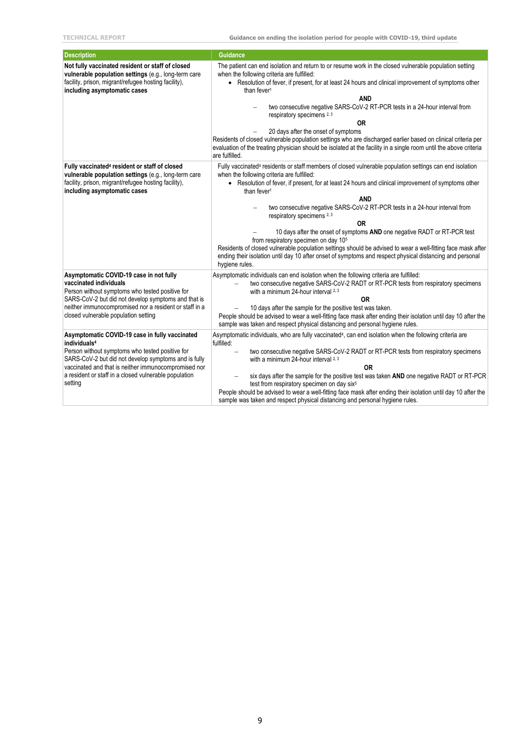| <b>Description</b>                                                                                                                                                                                        | Guidance                                                                                                                                                                                                                                                                                   |
|-----------------------------------------------------------------------------------------------------------------------------------------------------------------------------------------------------------|--------------------------------------------------------------------------------------------------------------------------------------------------------------------------------------------------------------------------------------------------------------------------------------------|
| Not fully vaccinated resident or staff of closed<br>vulnerable population settings (e.g., long-term care<br>facility, prison, migrant/refugee hosting facility),                                          | The patient can end isolation and return to or resume work in the closed vulnerable population setting<br>when the following criteria are fulfilled:<br>• Resolution of fever, if present, for at least 24 hours and clinical improvement of symptoms other                                |
| including asymptomatic cases                                                                                                                                                                              | than fever <sup>1</sup>                                                                                                                                                                                                                                                                    |
|                                                                                                                                                                                                           | <b>AND</b>                                                                                                                                                                                                                                                                                 |
|                                                                                                                                                                                                           | two consecutive negative SARS-CoV-2 RT-PCR tests in a 24-hour interval from<br>respiratory specimens 2, 3                                                                                                                                                                                  |
|                                                                                                                                                                                                           | ΟR                                                                                                                                                                                                                                                                                         |
|                                                                                                                                                                                                           | 20 days after the onset of symptoms<br>Residents of closed vulnerable population settings who are discharged earlier based on clinical criteria per<br>evaluation of the treating physician should be isolated at the facility in a single room until the above criteria<br>are fulfilled. |
| Fully vaccinated <sup>4</sup> resident or staff of closed<br>vulnerable population settings (e.g., long-term care<br>facility, prison, migrant/refugee hosting facility),<br>including asymptomatic cases | Fully vaccinated <sup>4</sup> residents or staff members of closed vulnerable population settings can end isolation<br>when the following criteria are fulfilled:                                                                                                                          |
|                                                                                                                                                                                                           | • Resolution of fever, if present, for at least 24 hours and clinical improvement of symptoms other<br>than fever <sup>1</sup>                                                                                                                                                             |
|                                                                                                                                                                                                           | <b>AND</b>                                                                                                                                                                                                                                                                                 |
|                                                                                                                                                                                                           | two consecutive negative SARS-CoV-2 RT-PCR tests in a 24-hour interval from<br>respiratory specimens <sup>2,3</sup>                                                                                                                                                                        |
|                                                                                                                                                                                                           | <b>OR</b>                                                                                                                                                                                                                                                                                  |
|                                                                                                                                                                                                           | 10 days after the onset of symptoms AND one negative RADT or RT-PCR test<br>from respiratory specimen on day 105                                                                                                                                                                           |
|                                                                                                                                                                                                           | Residents of closed vulnerable population settings should be advised to wear a well-fitting face mask after<br>ending their isolation until day 10 after onset of symptoms and respect physical distancing and personal<br>hygiene rules.                                                  |
| Asymptomatic COVID-19 case in not fully                                                                                                                                                                   | Asymptomatic individuals can end isolation when the following criteria are fulfilled:                                                                                                                                                                                                      |
| vaccinated individuals<br>Person without symptoms who tested positive for                                                                                                                                 | two consecutive negative SARS-CoV-2 RADT or RT-PCR tests from respiratory specimens<br>with a minimum 24-hour interval 2, 3                                                                                                                                                                |
| SARS-CoV-2 but did not develop symptoms and that is                                                                                                                                                       | 0R                                                                                                                                                                                                                                                                                         |
| neither immunocompromised nor a resident or staff in a                                                                                                                                                    | 10 days after the sample for the positive test was taken.                                                                                                                                                                                                                                  |
| closed vulnerable population setting                                                                                                                                                                      | People should be advised to wear a well-fitting face mask after ending their isolation until day 10 after the<br>sample was taken and respect physical distancing and personal hygiene rules.                                                                                              |
| Asymptomatic COVID-19 case in fully vaccinated<br>individuals <sup>4</sup>                                                                                                                                | Asymptomatic individuals, who are fully vaccinated <sup>4</sup> , can end isolation when the following criteria are<br>fulfilled:                                                                                                                                                          |
| Person without symptoms who tested positive for<br>SARS-CoV-2 but did not develop symptoms and is fully                                                                                                   | two consecutive negative SARS-CoV-2 RADT or RT-PCR tests from respiratory specimens<br>$\equiv$<br>with a minimum 24-hour interval 2, 3                                                                                                                                                    |
| vaccinated and that is neither immunocompromised nor                                                                                                                                                      | 0R                                                                                                                                                                                                                                                                                         |
| a resident or staff in a closed vulnerable population<br>setting                                                                                                                                          | six days after the sample for the positive test was taken AND one negative RADT or RT-PCR<br>test from respiratory specimen on day six <sup>5</sup>                                                                                                                                        |
|                                                                                                                                                                                                           | People should be advised to wear a well-fitting face mask after ending their isolation until day 10 after the<br>sample was taken and respect physical distancing and personal hygiene rules.                                                                                              |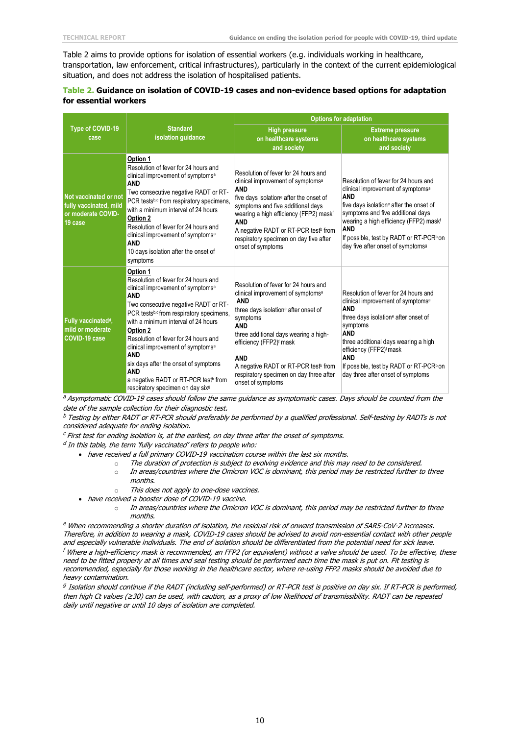Table 2 aims to provide options for isolation of essential workers (e.g. individuals working in healthcare, transportation, law enforcement, critical infrastructures), particularly in the context of the current epidemiological situation, and does not address the isolation of hospitalised patients.

#### **Table 2. Guidance on isolation of COVID-19 cases and non-evidence based options for adaptation for essential workers**

|                                                                                         |                                                                                                                                                                                                                                                                                                                                                                                                                                                                                                                                     | <b>Options for adaptation</b>                                                                                                                                                                                                                                                                                                                                                                       |                                                                                                                                                                                                                                                                                                                                                                            |  |
|-----------------------------------------------------------------------------------------|-------------------------------------------------------------------------------------------------------------------------------------------------------------------------------------------------------------------------------------------------------------------------------------------------------------------------------------------------------------------------------------------------------------------------------------------------------------------------------------------------------------------------------------|-----------------------------------------------------------------------------------------------------------------------------------------------------------------------------------------------------------------------------------------------------------------------------------------------------------------------------------------------------------------------------------------------------|----------------------------------------------------------------------------------------------------------------------------------------------------------------------------------------------------------------------------------------------------------------------------------------------------------------------------------------------------------------------------|--|
| Type of COVID-19<br>case                                                                | <b>Standard</b><br>isolation guidance                                                                                                                                                                                                                                                                                                                                                                                                                                                                                               | <b>High pressure</b><br>on healthcare systems<br>and society                                                                                                                                                                                                                                                                                                                                        | <b>Extreme pressure</b><br>on healthcare systems<br>and society                                                                                                                                                                                                                                                                                                            |  |
| <b>Not vaccinated or not</b><br>fully vaccinated, mild<br>or moderate COVID-<br>19 case | Option 1<br>Resolution of fever for 24 hours and<br>clinical improvement of symptoms <sup>a</sup><br><b>AND</b><br>Two consecutive negative RADT or RT-<br>PCR tests <sup>b,c</sup> from respiratory specimens,<br>with a minimum interval of 24 hours<br>Option 2<br>Resolution of fever for 24 hours and<br>clinical improvement of symptoms <sup>a</sup><br><b>AND</b><br>10 days isolation after the onset of<br>symptoms                                                                                                       | Resolution of fever for 24 hours and<br>clinical improvement of symptoms <sup>a</sup><br><b>AND</b><br>five days isolation <sup>e</sup> after the onset of<br>symptoms and five additional days<br>wearing a high efficiency (FFP2) maskf<br><b>AND</b><br>A negative RADT or RT-PCR test <sup>b</sup> from<br>respiratory specimen on day five after<br>onset of symptoms                          | Resolution of fever for 24 hours and<br>clinical improvement of symptoms <sup>a</sup><br><b>AND</b><br>five days isolation <sup>e</sup> after the onset of<br>symptoms and five additional days<br>wearing a high efficiency (FFP2) maskf<br><b>AND</b><br>If possible, test by RADT or RT-PCR <sup>b</sup> on<br>day five after onset of symptoms <sup>9</sup>            |  |
| Fully vaccinated <sup>d</sup> ,<br>mild or moderate<br>COVID-19 case                    | Option 1<br>Resolution of fever for 24 hours and<br>clinical improvement of symptoms <sup>a</sup><br><b>AND</b><br>Two consecutive negative RADT or RT-<br>PCR tests <sup>b,c</sup> from respiratory specimens,<br>with a minimum interval of 24 hours<br>Option 2<br>Resolution of fever for 24 hours and<br>clinical improvement of symptoms <sup>a</sup><br><b>AND</b><br>six days after the onset of symptoms<br><b>AND</b><br>a negative RADT or RT-PCR test <sup>b</sup> from<br>respiratory specimen on day six <sup>9</sup> | Resolution of fever for 24 hours and<br>clinical improvement of symptoms <sup>a</sup><br><b>AND</b><br>three days isolation <sup>e</sup> after onset of<br>symptoms<br><b>AND</b><br>three additional days wearing a high-<br>efficiency (FFP2) <sup>f</sup> mask<br><b>AND</b><br>A negative RADT or RT-PCR test <sup>b</sup> from<br>respiratory specimen on day three after<br>onset of symptoms | Resolution of fever for 24 hours and<br>clinical improvement of symptoms <sup>a</sup><br><b>AND</b><br>three days isolation <sup>e</sup> after onset of<br>symptoms<br><b>AND</b><br>three additional days wearing a high<br>efficiency (FFP2) <sup>f</sup> mask<br><b>AND</b><br>If possible, test by RADT or RT-PCR <sup>b</sup> on<br>day three after onset of symptoms |  |

a Asymptomatic COVID-19 cases should follow the same quidance as symptomatic cases. Days should be counted from the date of the sample collection for their diagnostic test.

<sup>b</sup> Testina by either RADT or RT-PCR should preferably be performed by a qualified professional. Self-testing by RADTs is not considered adequate for ending isolation.

 $c$  First test for ending isolation is, at the earliest, on day three after the onset of symptoms.

<sup>d</sup> In this table, the term `fully vaccinated' refers to people who:

- have received a full primary COVID-19 vaccination course within the last six months.
	- o The duration of protection is subject to evolving evidence and this may need to be considered.
	- o In areas/countries where the Omicron VOC is dominant, this period may be restricted further to three months.
	- o This does not apply to one-dose vaccines.
- have received a booster dose of COVID-19 vaccine.
	- o In areas/countries where the Omicron VOC is dominant, this period may be restricted further to three months.

e When recommending a shorter duration of isolation, the residual risk of onward transmission of SARS-CoV-2 increases. Therefore, in addition to wearing a mask, COVID-19 cases should be advised to avoid non-essential contact with other people and especially vulnerable individuals. The end of isolation should be differentiated from the potential need for sick leave.  $f$  Where a high-efficiency mask is recommended, an FFP2 (or equivalent) without a valve should be used. To be effective, these need to be fitted properly at all times and seal testing should be performed each time the mask is put on. Fit testing is recommended, especially for those working in the healthcare sector, where re-using FFP2 masks should be avoided due to heavy contamination.

g Isolation should continue if the RADT (including self-performed) or RT-PCR test is positive on day six. If RT-PCR is performed, then high Ct values (≥30) can be used, with caution, as a proxy of low likelihood of transmissibility. RADT can be repeated daily until negative or until 10 days of isolation are completed.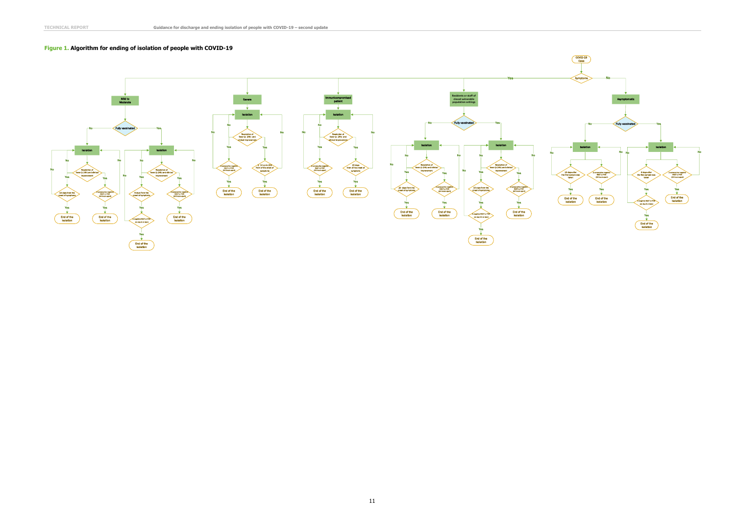#### **Figure 1. Algorithm for ending of isolation of people with COVID-19**

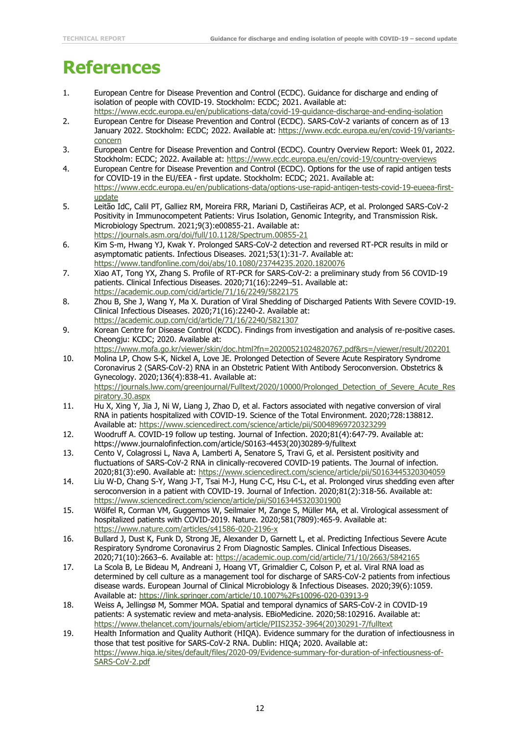## **References**

- 1. European Centre for Disease Prevention and Control (ECDC). Guidance for discharge and ending of isolation of people with COVID-19. Stockholm: ECDC; 2021. Available at:
- <https://www.ecdc.europa.eu/en/publications-data/covid-19-guidance-discharge-and-ending-isolation> 2. European Centre for Disease Prevention and Control (ECDC). SARS-CoV-2 variants of concern as of 13 January 2022. Stockholm: ECDC; 2022. Available at: [https://www.ecdc.europa.eu/en/covid-19/variants](https://www.ecdc.europa.eu/en/covid-19/variants-concern)[concern](https://www.ecdc.europa.eu/en/covid-19/variants-concern)
- 3. European Centre for Disease Prevention and Control (ECDC). Country Overview Report: Week 01, 2022. Stockholm: ECDC; 2022. Available at:<https://www.ecdc.europa.eu/en/covid-19/country-overviews>
- 4. European Centre for Disease Prevention and Control (ECDC). Options for the use of rapid antigen tests for COVID-19 in the EU/EEA - first update. Stockholm: ECDC; 2021. Available at:
- [https://www.ecdc.europa.eu/en/publications-data/options-use-rapid-antigen-tests-covid-19-eueea-first](https://www.ecdc.europa.eu/en/publications-data/options-use-rapid-antigen-tests-covid-19-eueea-first-update)[update](https://www.ecdc.europa.eu/en/publications-data/options-use-rapid-antigen-tests-covid-19-eueea-first-update)
- 5. Leitão IdC, Calil PT, Galliez RM, Moreira FRR, Mariani D, Castiñeiras ACP, et al. Prolonged SARS-CoV-2 Positivity in Immunocompetent Patients: Virus Isolation, Genomic Integrity, and Transmission Risk. Microbiology Spectrum. 2021;9(3):e00855-21. Available at: <https://journals.asm.org/doi/full/10.1128/Spectrum.00855-21>
- 6. Kim S-m, Hwang YJ, Kwak Y. Prolonged SARS-CoV-2 detection and reversed RT-PCR results in mild or asymptomatic patients. Infectious Diseases. 2021;53(1):31-7. Available at: <https://www.tandfonline.com/doi/abs/10.1080/23744235.2020.1820076>
- 7. Xiao AT, Tong YX, Zhang S. Profile of RT-PCR for SARS-CoV-2: a preliminary study from 56 COVID-19 patients. Clinical Infectious Diseases. 2020;71(16):2249–51. Available at: <https://academic.oup.com/cid/article/71/16/2249/5822175>
- 8. Zhou B, She J, Wang Y, Ma X. Duration of Viral Shedding of Discharged Patients With Severe COVID-19. Clinical Infectious Diseases. 2020;71(16):2240-2. Available at: <https://academic.oup.com/cid/article/71/16/2240/5821307>
- 9. Korean Centre for Disease Control (KCDC). Findings from investigation and analysis of re-positive cases. Cheongju: KCDC; 2020. Available at:
- <https://www.mofa.go.kr/viewer/skin/doc.html?fn=20200521024820767.pdf&rs=/viewer/result/202201> 10. Molina LP, Chow S-K, Nickel A, Love JE. Prolonged Detection of Severe Acute Respiratory Syndrome Coronavirus 2 (SARS-CoV-2) RNA in an Obstetric Patient With Antibody Seroconversion. Obstetrics & Gynecology. 2020;136(4):838-41. Available at: [https://journals.lww.com/greenjournal/Fulltext/2020/10000/Prolonged\\_Detection\\_of\\_Severe\\_Acute\\_Res](https://journals.lww.com/greenjournal/Fulltext/2020/10000/Prolonged_Detection_of_Severe_Acute_Respiratory.30.aspx) [piratory.30.aspx](https://journals.lww.com/greenjournal/Fulltext/2020/10000/Prolonged_Detection_of_Severe_Acute_Respiratory.30.aspx)
- 11. Hu X, Xing Y, Jia J, Ni W, Liang J, Zhao D, et al. Factors associated with negative conversion of viral RNA in patients hospitalized with COVID-19. Science of the Total Environment. 2020;728:138812. Available at:<https://www.sciencedirect.com/science/article/pii/S0048969720323299>
- 12. Woodruff A. COVID-19 follow up testing. Journal of Infection. 2020;81(4):647-79. Available at: https://www.journalofinfection.com/article/S0163-4453(20)30289-9/fulltext
- 13. Cento V, Colagrossi L, Nava A, Lamberti A, Senatore S, Travi G, et al. Persistent positivity and fluctuations of SARS-CoV-2 RNA in clinically-recovered COVID-19 patients. The Journal of infection. 2020;81(3):e90. Available at:<https://www.sciencedirect.com/science/article/pii/S0163445320304059>
- 14. Liu W-D, Chang S-Y, Wang J-T, Tsai M-J, Hung C-C, Hsu C-L, et al. Prolonged virus shedding even after seroconversion in a patient with COVID-19. Journal of Infection. 2020;81(2):318-56. Available at: <https://www.sciencedirect.com/science/article/pii/S0163445320301900>
- 15. Wölfel R, Corman VM, Guggemos W, Seilmaier M, Zange S, Müller MA, et al. Virological assessment of hospitalized patients with COVID-2019. Nature. 2020;581(7809):465-9. Available at: <https://www.nature.com/articles/s41586-020-2196-x>
- 16. Bullard J, Dust K, Funk D, Strong JE, Alexander D, Garnett L, et al. Predicting Infectious Severe Acute Respiratory Syndrome Coronavirus 2 From Diagnostic Samples. Clinical Infectious Diseases. 2020;71(10):2663–6. Available at:<https://academic.oup.com/cid/article/71/10/2663/5842165>
- 17. La Scola B, Le Bideau M, Andreani J, Hoang VT, Grimaldier C, Colson P, et al. Viral RNA load as determined by cell culture as a management tool for discharge of SARS-CoV-2 patients from infectious disease wards. European Journal of Clinical Microbiology & Infectious Diseases. 2020;39(6):1059. Available at:<https://link.springer.com/article/10.1007%2Fs10096-020-03913-9>
- 18. Weiss A, Jellingsø M, Sommer MOA. Spatial and temporal dynamics of SARS-CoV-2 in COVID-19 patients: A systematic review and meta-analysis. EBioMedicine. 2020;58:102916. Available at: [https://www.thelancet.com/journals/ebiom/article/PIIS2352-3964\(20\)30291-7/fulltext](https://www.thelancet.com/journals/ebiom/article/PIIS2352-3964(20)30291-7/fulltext)
- 19. Health Information and Quality Authorit (HIQA). Evidence summary for the duration of infectiousness in those that test positive for SARS-CoV-2 RNA. Dublin: HIQA; 2020. Available at: [https://www.hiqa.ie/sites/default/files/2020-09/Evidence-summary-for-duration-of-infectiousness-of-](https://www.hiqa.ie/sites/default/files/2020-09/Evidence-summary-for-duration-of-infectiousness-of-SARS-CoV-2.pdf)[SARS-CoV-2.pdf](https://www.hiqa.ie/sites/default/files/2020-09/Evidence-summary-for-duration-of-infectiousness-of-SARS-CoV-2.pdf)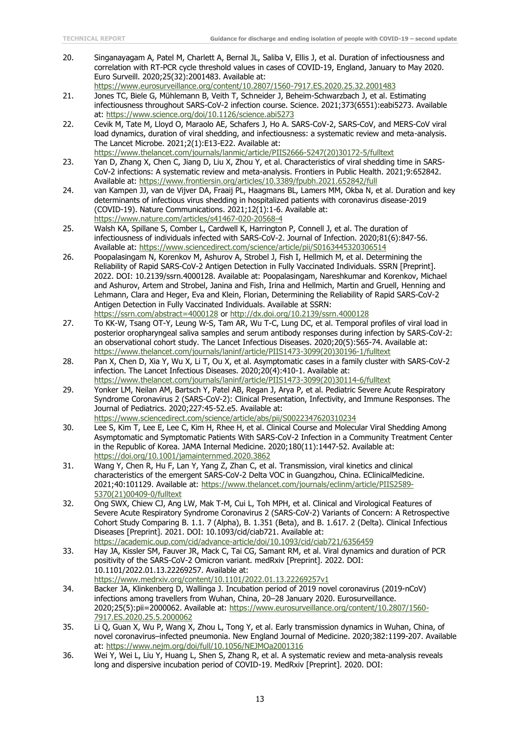- 20. Singanayagam A, Patel M, Charlett A, Bernal JL, Saliba V, Ellis J, et al. Duration of infectiousness and correlation with RT-PCR cycle threshold values in cases of COVID-19, England, January to May 2020. Euro Surveill. 2020;25(32):2001483. Available at: <https://www.eurosurveillance.org/content/10.2807/1560-7917.ES.2020.25.32.2001483>
- 21. Jones TC, Biele G, Mühlemann B, Veith T, Schneider J, Beheim-Schwarzbach J, et al. Estimating infectiousness throughout SARS-CoV-2 infection course. Science. 2021;373(6551):eabi5273. Available at:<https://www.science.org/doi/10.1126/science.abi5273>
- 22. Cevik M, Tate M, Lloyd O, Maraolo AE, Schafers J, Ho A. SARS-CoV-2, SARS-CoV, and MERS-CoV viral load dynamics, duration of viral shedding, and infectiousness: a systematic review and meta-analysis. The Lancet Microbe. 2021;2(1):E13-E22. Available at:
- [https://www.thelancet.com/journals/lanmic/article/PIIS2666-5247\(20\)30172-5/fulltext](https://www.thelancet.com/journals/lanmic/article/PIIS2666-5247(20)30172-5/fulltext) 23. Yan D, Zhang X, Chen C, Jiang D, Liu X, Zhou Y, et al. Characteristics of viral shedding time in SARS-CoV-2 infections: A systematic review and meta-analysis. Frontiers in Public Health. 2021;9:652842. Available at:<https://www.frontiersin.org/articles/10.3389/fpubh.2021.652842/full>
- 24. van Kampen JJ, van de Vijver DA, Fraaij PL, Haagmans BL, Lamers MM, Okba N, et al. Duration and key determinants of infectious virus shedding in hospitalized patients with coronavirus disease-2019 (COVID-19). Nature Communications. 2021;12(1):1-6. Available at: <https://www.nature.com/articles/s41467-020-20568-4>
- 25. Walsh KA, Spillane S, Comber L, Cardwell K, Harrington P, Connell J, et al. The duration of infectiousness of individuals infected with SARS-CoV-2. Journal of Infection. 2020;81(6):847-56. Available at:<https://www.sciencedirect.com/science/article/pii/S0163445320306514>
- 26. Poopalasingam N, Korenkov M, Ashurov A, Strobel J, Fish I, Hellmich M, et al. Determining the Reliability of Rapid SARS-CoV-2 Antigen Detection in Fully Vaccinated Individuals. SSRN [Preprint]. 2022. DOI: 10.2139/ssrn.4000128. Available at: Poopalasingam, Nareshkumar and Korenkov, Michael and Ashurov, Artem and Strobel, Janina and Fish, Irina and Hellmich, Martin and Gruell, Henning and Lehmann, Clara and Heger, Eva and Klein, Florian, Determining the Reliability of Rapid SARS-CoV-2 Antigen Detection in Fully Vaccinated Individuals. Available at SSRN: <https://ssrn.com/abstract=4000128> or<http://dx.doi.org/10.2139/ssrn.4000128>
- 27. To KK-W, Tsang OT-Y, Leung W-S, Tam AR, Wu T-C, Lung DC, et al. Temporal profiles of viral load in posterior oropharyngeal saliva samples and serum antibody responses during infection by SARS-CoV-2: an observational cohort study. The Lancet Infectious Diseases. 2020;20(5):565-74. Available at: [https://www.thelancet.com/journals/laninf/article/PIIS1473-3099\(20\)30196-1/fulltext](https://www.thelancet.com/journals/laninf/article/PIIS1473-3099(20)30196-1/fulltext)
- 28. Pan X, Chen D, Xia Y, Wu X, Li T, Ou X, et al. Asymptomatic cases in a family cluster with SARS-CoV-2 infection. The Lancet Infectious Diseases. 2020;20(4):410-1. Available at: [https://www.thelancet.com/journals/laninf/article/PIIS1473-3099\(20\)30114-6/fulltext](https://www.thelancet.com/journals/laninf/article/PIIS1473-3099(20)30114-6/fulltext)
- 29. Yonker LM, Neilan AM, Bartsch Y, Patel AB, Regan J, Arya P, et al. Pediatric Severe Acute Respiratory Syndrome Coronavirus 2 (SARS-CoV-2): Clinical Presentation, Infectivity, and Immune Responses. The Journal of Pediatrics. 2020;227:45-52.e5. Available at: <https://www.sciencedirect.com/science/article/abs/pii/S0022347620310234>
- 30. Lee S, Kim T, Lee E, Lee C, Kim H, Rhee H, et al. Clinical Course and Molecular Viral Shedding Among Asymptomatic and Symptomatic Patients With SARS-CoV-2 Infection in a Community Treatment Center in the Republic of Korea. JAMA Internal Medicine. 2020;180(11):1447-52. Available at: <https://doi.org/10.1001/jamainternmed.2020.3862>
- 31. Wang Y, Chen R, Hu F, Lan Y, Yang Z, Zhan C, et al. Transmission, viral kinetics and clinical characteristics of the emergent SARS-CoV-2 Delta VOC in Guangzhou, China. EClinicalMedicine. 2021;40:101129. Available at: [https://www.thelancet.com/journals/eclinm/article/PIIS2589-](https://www.thelancet.com/journals/eclinm/article/PIIS2589-5370(21)00409-0/fulltext) [5370\(21\)00409-0/fulltext](https://www.thelancet.com/journals/eclinm/article/PIIS2589-5370(21)00409-0/fulltext)
- 32. Ong SWX, Chiew CJ, Ang LW, Mak T-M, Cui L, Toh MPH, et al. Clinical and Virological Features of Severe Acute Respiratory Syndrome Coronavirus 2 (SARS-CoV-2) Variants of Concern: A Retrospective Cohort Study Comparing B. 1.1. 7 (Alpha), B. 1.351 (Beta), and B. 1.617. 2 (Delta). Clinical Infectious Diseases [Preprint]. 2021. DOI: 10.1093/cid/ciab721. Available at: <https://academic.oup.com/cid/advance-article/doi/10.1093/cid/ciab721/6356459>
- 33. Hay JA, Kissler SM, Fauver JR, Mack C, Tai CG, Samant RM, et al. Viral dynamics and duration of PCR positivity of the SARS-CoV-2 Omicron variant. medRxiv [Preprint]. 2022. DOI: 10.1101/2022.01.13.22269257. Available at:
- <https://www.medrxiv.org/content/10.1101/2022.01.13.22269257v1>
- 34. Backer JA, Klinkenberg D, Wallinga J. Incubation period of 2019 novel coronavirus (2019-nCoV) infections among travellers from Wuhan, China, 20–28 January 2020. Eurosurveillance. 2020;25(5):pii=2000062. Available at: [https://www.eurosurveillance.org/content/10.2807/1560-](https://www.eurosurveillance.org/content/10.2807/1560-7917.ES.2020.25.5.2000062) [7917.ES.2020.25.5.2000062](https://www.eurosurveillance.org/content/10.2807/1560-7917.ES.2020.25.5.2000062)
- 35. Li Q, Guan X, Wu P, Wang X, Zhou L, Tong Y, et al. Early transmission dynamics in Wuhan, China, of novel coronavirus–infected pneumonia. New England Journal of Medicine. 2020;382:1199-207. Available at:<https://www.nejm.org/doi/full/10.1056/NEJMOa2001316>
- 36. Wei Y, Wei L, Liu Y, Huang L, Shen S, Zhang R, et al. A systematic review and meta-analysis reveals long and dispersive incubation period of COVID-19. MedRxiv [Preprint]. 2020. DOI: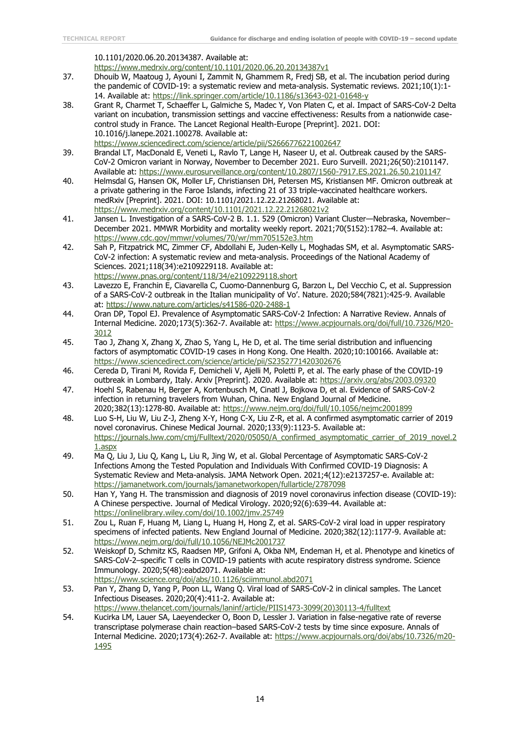#### 10.1101/2020.06.20.20134387. Available at:

<https://www.medrxiv.org/content/10.1101/2020.06.20.20134387v1>

- 37. Dhouib W, Maatoug J, Ayouni I, Zammit N, Ghammem R, Fredj SB, et al. The incubation period during the pandemic of COVID-19: a systematic review and meta-analysis. Systematic reviews. 2021;10(1):1- 14. Available at:<https://link.springer.com/article/10.1186/s13643-021-01648-y>
- 38. Grant R, Charmet T, Schaeffer L, Galmiche S, Madec Y, Von Platen C, et al. Impact of SARS-CoV-2 Delta variant on incubation, transmission settings and vaccine effectiveness: Results from a nationwide casecontrol study in France. The Lancet Regional Health-Europe [Preprint]. 2021. DOI: 10.1016/j.lanepe.2021.100278. Available at: <https://www.sciencedirect.com/science/article/pii/S2666776221002647>
- 39. Brandal LT, MacDonald E, Veneti L, Ravlo T, Lange H, Naseer U, et al. Outbreak caused by the SARS-CoV-2 Omicron variant in Norway, November to December 2021. Euro Surveill. 2021;26(50):2101147. Available at:<https://www.eurosurveillance.org/content/10.2807/1560-7917.ES.2021.26.50.2101147>
- 40. Helmsdal G, Hansen OK, Moller LF, Christiansen DH, Petersen MS, Kristiansen MF. Omicron outbreak at a private gathering in the Faroe Islands, infecting 21 of 33 triple-vaccinated healthcare workers. medRxiv [Preprint]. 2021. DOI: 10.1101/2021.12.22.21268021. Available at: <https://www.medrxiv.org/content/10.1101/2021.12.22.21268021v2>
- 41. Jansen L. Investigation of a SARS-CoV-2 B. 1.1. 529 (Omicron) Variant Cluster—Nebraska, November– December 2021. MMWR Morbidity and mortality weekly report. 2021;70(5152):1782–4. Available at: <https://www.cdc.gov/mmwr/volumes/70/wr/mm705152e3.htm>
- 42. Sah P, Fitzpatrick MC, Zimmer CF, Abdollahi E, Juden-Kelly L, Moghadas SM, et al. Asymptomatic SARS-CoV-2 infection: A systematic review and meta-analysis. Proceedings of the National Academy of Sciences. 2021;118(34):e2109229118. Available at: <https://www.pnas.org/content/118/34/e2109229118.short>
- 43. Lavezzo E, Franchin E, Ciavarella C, Cuomo-Dannenburg G, Barzon L, Del Vecchio C, et al. Suppression of a SARS-CoV-2 outbreak in the Italian municipality of Vo'. Nature. 2020;584(7821):425-9. Available at:<https://www.nature.com/articles/s41586-020-2488-1>
- 44. Oran DP, Topol EJ. Prevalence of Asymptomatic SARS-CoV-2 Infection: A Narrative Review. Annals of Internal Medicine. 2020;173(5):362-7. Available at: [https://www.acpjournals.org/doi/full/10.7326/M20-](https://www.acpjournals.org/doi/full/10.7326/M20-3012) [3012](https://www.acpjournals.org/doi/full/10.7326/M20-3012)
- 45. Tao J, Zhang X, Zhang X, Zhao S, Yang L, He D, et al. The time serial distribution and influencing factors of asymptomatic COVID-19 cases in Hong Kong. One Health. 2020;10:100166. Available at: <https://www.sciencedirect.com/science/article/pii/S2352771420302676>
- 46. Cereda D, Tirani M, Rovida F, Demicheli V, Ajelli M, Poletti P, et al. The early phase of the COVID-19 outbreak in Lombardy, Italy. Arxiv [Preprint]. 2020. Available at:<https://arxiv.org/abs/2003.09320>
- 47. Hoehl S, Rabenau H, Berger A, Kortenbusch M, Cinatl J, Bojkova D, et al. Evidence of SARS-CoV-2 infection in returning travelers from Wuhan, China. New England Journal of Medicine. 2020;382(13):1278-80. Available at:<https://www.nejm.org/doi/full/10.1056/nejmc2001899>
- 48. Luo S-H, Liu W, Liu Z-J, Zheng X-Y, Hong C-X, Liu Z-R, et al. A confirmed asymptomatic carrier of 2019 novel coronavirus. Chinese Medical Journal. 2020;133(9):1123-5. Available at: [https://journals.lww.com/cmj/Fulltext/2020/05050/A\\_confirmed\\_asymptomatic\\_carrier\\_of\\_2019\\_novel.2](https://journals.lww.com/cmj/Fulltext/2020/05050/A_confirmed_asymptomatic_carrier_of_2019_novel.21.aspx) [1.aspx](https://journals.lww.com/cmj/Fulltext/2020/05050/A_confirmed_asymptomatic_carrier_of_2019_novel.21.aspx)
- 49. Ma Q, Liu J, Liu Q, Kang L, Liu R, Jing W, et al. Global Percentage of Asymptomatic SARS-CoV-2 Infections Among the Tested Population and Individuals With Confirmed COVID-19 Diagnosis: A Systematic Review and Meta-analysis. JAMA Network Open. 2021;4(12):e2137257-e. Available at: <https://jamanetwork.com/journals/jamanetworkopen/fullarticle/2787098>
- 50. Han Y, Yang H. The transmission and diagnosis of 2019 novel coronavirus infection disease (COVID‐19): A Chinese perspective. Journal of Medical Virology. 2020;92(6):639-44. Available at: <https://onlinelibrary.wiley.com/doi/10.1002/jmv.25749>
- 51. Zou L, Ruan F, Huang M, Liang L, Huang H, Hong Z, et al. SARS-CoV-2 viral load in upper respiratory specimens of infected patients. New England Journal of Medicine. 2020;382(12):1177-9. Available at: <https://www.nejm.org/doi/full/10.1056/NEJMc2001737>
- 52. Weiskopf D, Schmitz KS, Raadsen MP, Grifoni A, Okba NM, Endeman H, et al. Phenotype and kinetics of SARS-CoV-2–specific T cells in COVID-19 patients with acute respiratory distress syndrome. Science Immunology. 2020;5(48):eabd2071. Available at: <https://www.science.org/doi/abs/10.1126/sciimmunol.abd2071>
- 53. Pan Y, Zhang D, Yang P, Poon LL, Wang Q. Viral load of SARS-CoV-2 in clinical samples. The Lancet Infectious Diseases. 2020;20(4):411-2. Available at: [https://www.thelancet.com/journals/laninf/article/PIIS1473-3099\(20\)30113-4/fulltext](https://www.thelancet.com/journals/laninf/article/PIIS1473-3099(20)30113-4/fulltext)
- 54. Kucirka LM, Lauer SA, Laeyendecker O, Boon D, Lessler J. Variation in false-negative rate of reverse transcriptase polymerase chain reaction–based SARS-CoV-2 tests by time since exposure. Annals of Internal Medicine. 2020;173(4):262-7. Available at: [https://www.acpjournals.org/doi/abs/10.7326/m20-](https://www.acpjournals.org/doi/abs/10.7326/m20-1495) [1495](https://www.acpjournals.org/doi/abs/10.7326/m20-1495)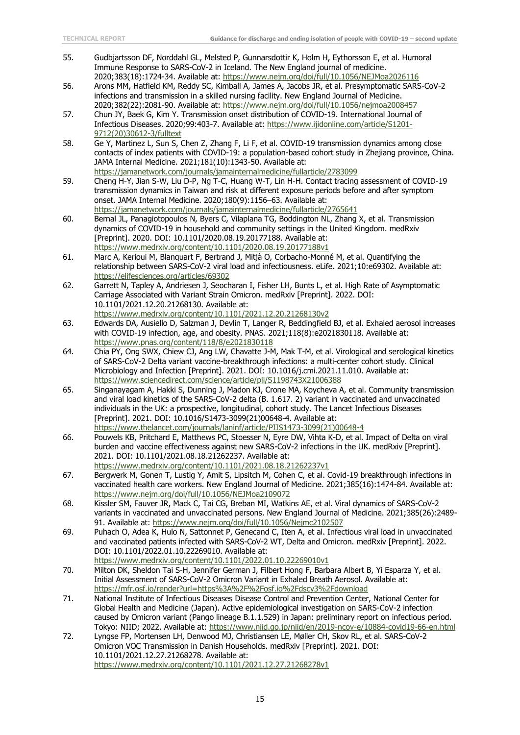- 55. Gudbjartsson DF, Norddahl GL, Melsted P, Gunnarsdottir K, Holm H, Eythorsson E, et al. Humoral Immune Response to SARS-CoV-2 in Iceland. The New England journal of medicine. 2020;383(18):1724-34. Available at:<https://www.nejm.org/doi/full/10.1056/NEJMoa2026116>
- 56. Arons MM, Hatfield KM, Reddy SC, Kimball A, James A, Jacobs JR, et al. Presymptomatic SARS-CoV-2 infections and transmission in a skilled nursing facility. New England Journal of Medicine. 2020;382(22):2081-90. Available at:<https://www.nejm.org/doi/full/10.1056/nejmoa2008457>
- 57. Chun JY, Baek G, Kim Y. Transmission onset distribution of COVID-19. International Journal of Infectious Diseases. 2020;99:403-7. Available at: [https://www.ijidonline.com/article/S1201-](https://www.ijidonline.com/article/S1201-9712(20)30612-3/fulltext) [9712\(20\)30612-3/fulltext](https://www.ijidonline.com/article/S1201-9712(20)30612-3/fulltext)
- 58. Ge Y, Martinez L, Sun S, Chen Z, Zhang F, Li F, et al. COVID-19 transmission dynamics among close contacts of index patients with COVID-19: a population-based cohort study in Zhejiang province, China. JAMA Internal Medicine. 2021;181(10):1343-50. Available at: <https://jamanetwork.com/journals/jamainternalmedicine/fullarticle/2783099>
- 59. Cheng H-Y, Jian S-W, Liu D-P, Ng T-C, Huang W-T, Lin H-H. Contact tracing assessment of COVID-19 transmission dynamics in Taiwan and risk at different exposure periods before and after symptom onset. JAMA Internal Medicine. 2020;180(9):1156–63. Available at: <https://jamanetwork.com/journals/jamainternalmedicine/fullarticle/2765641>
- 60. Bernal JL, Panagiotopoulos N, Byers C, Vilaplana TG, Boddington NL, Zhang X, et al. Transmission dynamics of COVID-19 in household and community settings in the United Kingdom. medRxiv [Preprint]. 2020. DOI: 10.1101/2020.08.19.20177188. Available at: <https://www.medrxiv.org/content/10.1101/2020.08.19.20177188v1>
- 61. Marc A, Kerioui M, Blanquart F, Bertrand J, Mitjà O, Corbacho-Monné M, et al. Quantifying the relationship between SARS-CoV-2 viral load and infectiousness. eLife. 2021;10:e69302. Available at: <https://elifesciences.org/articles/69302>
- 62. Garrett N, Tapley A, Andriesen J, Seocharan I, Fisher LH, Bunts L, et al. High Rate of Asymptomatic Carriage Associated with Variant Strain Omicron. medRxiv [Preprint]. 2022. DOI: 10.1101/2021.12.20.21268130. Available at: <https://www.medrxiv.org/content/10.1101/2021.12.20.21268130v2>
- 63. Edwards DA, Ausiello D, Salzman J, Devlin T, Langer R, Beddingfield BJ, et al. Exhaled aerosol increases with COVID-19 infection, age, and obesity. PNAS. 2021;118(8):e2021830118. Available at: <https://www.pnas.org/content/118/8/e2021830118>
- 64. Chia PY, Ong SWX, Chiew CJ, Ang LW, Chavatte J-M, Mak T-M, et al. Virological and serological kinetics of SARS-CoV-2 Delta variant vaccine-breakthrough infections: a multi-center cohort study. Clinical Microbiology and Infection [Preprint]. 2021. DOI: 10.1016/j.cmi.2021.11.010. Available at: <https://www.sciencedirect.com/science/article/pii/S1198743X21006388>
- 65. Singanayagam A, Hakki S, Dunning J, Madon KJ, Crone MA, Koycheva A, et al. Community transmission and viral load kinetics of the SARS-CoV-2 delta (B. 1.617. 2) variant in vaccinated and unvaccinated individuals in the UK: a prospective, longitudinal, cohort study. The Lancet Infectious Diseases [Preprint]. 2021. DOI: 10.1016/S1473-3099(21)00648-4. Available at:
- [https://www.thelancet.com/journals/laninf/article/PIIS1473-3099\(21\)00648-4](https://www.thelancet.com/journals/laninf/article/PIIS1473-3099(21)00648-4) 66. Pouwels KB, Pritchard E, Matthews PC, Stoesser N, Eyre DW, Vihta K-D, et al. Impact of Delta on viral burden and vaccine effectiveness against new SARS-CoV-2 infections in the UK. medRxiv [Preprint]. 2021. DOI: 10.1101/2021.08.18.21262237. Available at: <https://www.medrxiv.org/content/10.1101/2021.08.18.21262237v1>
- 67. Bergwerk M, Gonen T, Lustig Y, Amit S, Lipsitch M, Cohen C, et al. Covid-19 breakthrough infections in vaccinated health care workers. New England Journal of Medicine. 2021;385(16):1474-84. Available at: <https://www.nejm.org/doi/full/10.1056/NEJMoa2109072>
- 68. Kissler SM, Fauver JR, Mack C, Tai CG, Breban MI, Watkins AE, et al. Viral dynamics of SARS-CoV-2 variants in vaccinated and unvaccinated persons. New England Journal of Medicine. 2021;385(26):2489- 91. Available at:<https://www.nejm.org/doi/full/10.1056/Nejmc2102507>
- 69. Puhach O, Adea K, Hulo N, Sattonnet P, Genecand C, Iten A, et al. Infectious viral load in unvaccinated and vaccinated patients infected with SARS-CoV-2 WT, Delta and Omicron. medRxiv [Preprint]. 2022. DOI: 10.1101/2022.01.10.22269010. Available at: <https://www.medrxiv.org/content/10.1101/2022.01.10.22269010v1>
- 70. Milton DK, Sheldon Tai S-H, Jennifer German J, Filbert Hong F, Barbara Albert B, Yi Esparza Y, et al. Initial Assessment of SARS-CoV-2 Omicron Variant in Exhaled Breath Aerosol. Available at: <https://mfr.osf.io/render?url=https%3A%2F%2Fosf.io%2Fdscy3%2Fdownload>
- 71. National Institute of Infectious Diseases Disease Control and Prevention Center, National Center for Global Health and Medicine (Japan). Active epidemiological investigation on SARS-CoV-2 infection caused by Omicron variant (Pango lineage B.1.1.529) in Japan: preliminary report on infectious period. Tokyo: NIID; 2022. Available at:<https://www.niid.go.jp/niid/en/2019-ncov-e/10884-covid19-66-en.html>
- 72. Lyngse FP, Mortensen LH, Denwood MJ, Christiansen LE, Møller CH, Skov RL, et al. SARS-CoV-2 Omicron VOC Transmission in Danish Households. medRxiv [Preprint]. 2021. DOI: 10.1101/2021.12.27.21268278. Available at: <https://www.medrxiv.org/content/10.1101/2021.12.27.21268278v1>